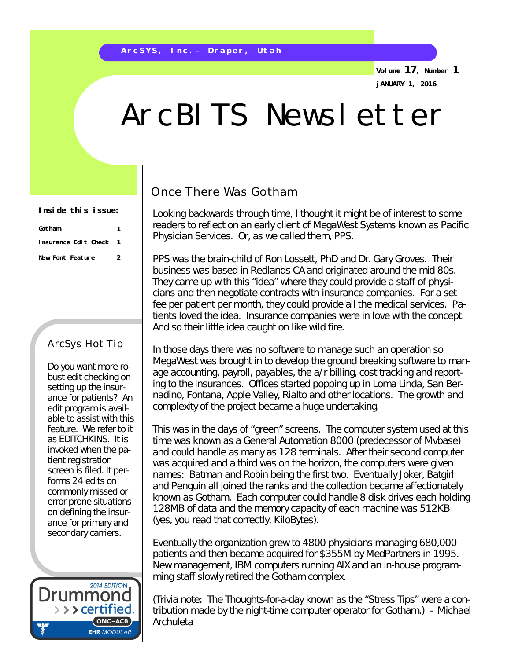**Volume 17, Number 1 jANUARY 1, 2016**

# ArcBITS Newsletter

#### **Inside this issue:**

| Gotham               |   |
|----------------------|---|
| Insurance Edit Check |   |
| New Font Feature     | 2 |

#### ArcSys Hot Tip

Do you want more robust edit checking on setting up the insurance for patients? An edit program is available to assist with this feature. We refer to it as EDITCHKINS. It is invoked when the patient registration screen is filed. It performs 24 edits on commonly missed or error prone situations on defining the insurance for primary and secondary carriers.



### Once There Was Gotham

Looking backwards through time, I thought it might be of interest to some readers to reflect on an early client of MegaWest Systems known as Pacific Physician Services. Or, as we called them, PPS.

PPS was the brain-child of Ron Lossett, PhD and Dr. Gary Groves. Their business was based in Redlands CA and originated around the mid 80s. They came up with this "idea" where they could provide a staff of physicians and then negotiate contracts with insurance companies. For a set fee per patient per month, they could provide all the medical services. Patients loved the idea. Insurance companies were in love with the concept. And so their little idea caught on like wild fire.

In those days there was no software to manage such an operation so MegaWest was brought in to develop the ground breaking software to manage accounting, payroll, payables, the a/r billing, cost tracking and reporting to the insurances. Offices started popping up in Loma Linda, San Bernadino, Fontana, Apple Valley, Rialto and other locations. The growth and complexity of the project became a huge undertaking.

This was in the days of "green" screens. The computer system used at this time was known as a General Automation 8000 (predecessor of Mvbase) and could handle as many as 128 terminals. After their second computer was acquired and a third was on the horizon, the computers were given names: Batman and Robin being the first two. Eventually Joker, Batgirl and Penguin all joined the ranks and the collection became affectionately known as Gotham. Each computer could handle 8 disk drives each holding 128MB of data and the memory capacity of each machine was 512KB (yes, you read that correctly, KiloBytes).

Eventually the organization grew to 4800 physicians managing 680,000 patients and then became acquired for \$355M by MedPartners in 1995. New management, IBM computers running AIX and an in-house programming staff slowly retired the Gotham complex.

(Trivia note: The Thoughts-for-a-day known as the "Stress Tips" were a contribution made by the night-time computer operator for Gotham.) - *Michael Archuleta*